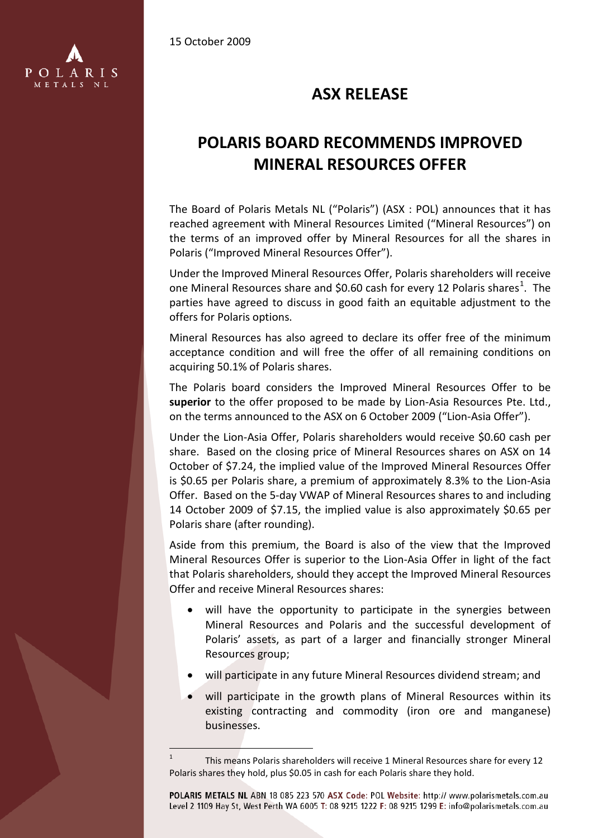15 October 2009



## **ASX RELEASE**

## **POLARIS BOARD RECOMMENDS IMPROVED MINERAL RESOURCES OFFER**

The Board of Polaris Metals NL ("Polaris") (ASX : POL) announces that it has reached agreement with Mineral Resources Limited ("Mineral Resources") on the terms of an improved offer by Mineral Resources for all the shares in Polaris ("Improved Mineral Resources Offer").

Under the Improved Mineral Resources Offer, Polaris shareholders will receive one Mineral Resources share and \$0.60 cash for every [1](#page-0-0)2 Polaris shares<sup>1</sup>. The parties have agreed to discuss in good faith an equitable adjustment to the offers for Polaris options.

Mineral Resources has also agreed to declare its offer free of the minimum acceptance condition and will free the offer of all remaining conditions on acquiring 50.1% of Polaris shares.

The Polaris board considers the Improved Mineral Resources Offer to be **superior** to the offer proposed to be made by Lion-Asia Resources Pte. Ltd., on the terms announced to the ASX on 6 October 2009 ("Lion-Asia Offer").

Under the Lion-Asia Offer, Polaris shareholders would receive \$0.60 cash per share. Based on the closing price of Mineral Resources shares on ASX on 14 October of \$7.24, the implied value of the Improved Mineral Resources Offer is \$0.65 per Polaris share, a premium of approximately 8.3% to the Lion-Asia Offer. Based on the 5-day VWAP of Mineral Resources shares to and including 14 October 2009 of \$7.15, the implied value is also approximately \$0.65 per Polaris share (after rounding).

Aside from this premium, the Board is also of the view that the Improved Mineral Resources Offer is superior to the Lion-Asia Offer in light of the fact that Polaris shareholders, should they accept the Improved Mineral Resources Offer and receive Mineral Resources shares:

- will have the opportunity to participate in the synergies between Mineral Resources and Polaris and the successful development of Polaris' assets, as part of a larger and financially stronger Mineral Resources group;
- will participate in any future Mineral Resources dividend stream; and
- will participate in the growth plans of Mineral Resources within its existing contracting and commodity (iron ore and manganese) businesses.

POLARIS METALS NL ABN 18 085 223 570 ASX Code: POL Website: http:// www.polarismetals.com.au Level 2 1109 Hay St, West Perth WA 6005 T: 08 9215 1222 F: 08 9215 1299 E: info@polarismetals.com.au

<span id="page-0-0"></span> $\overline{a}$ <sup>1</sup> This means Polaris shareholders will receive 1 Mineral Resources share for every 12 Polaris shares they hold, plus \$0.05 in cash for each Polaris share they hold.